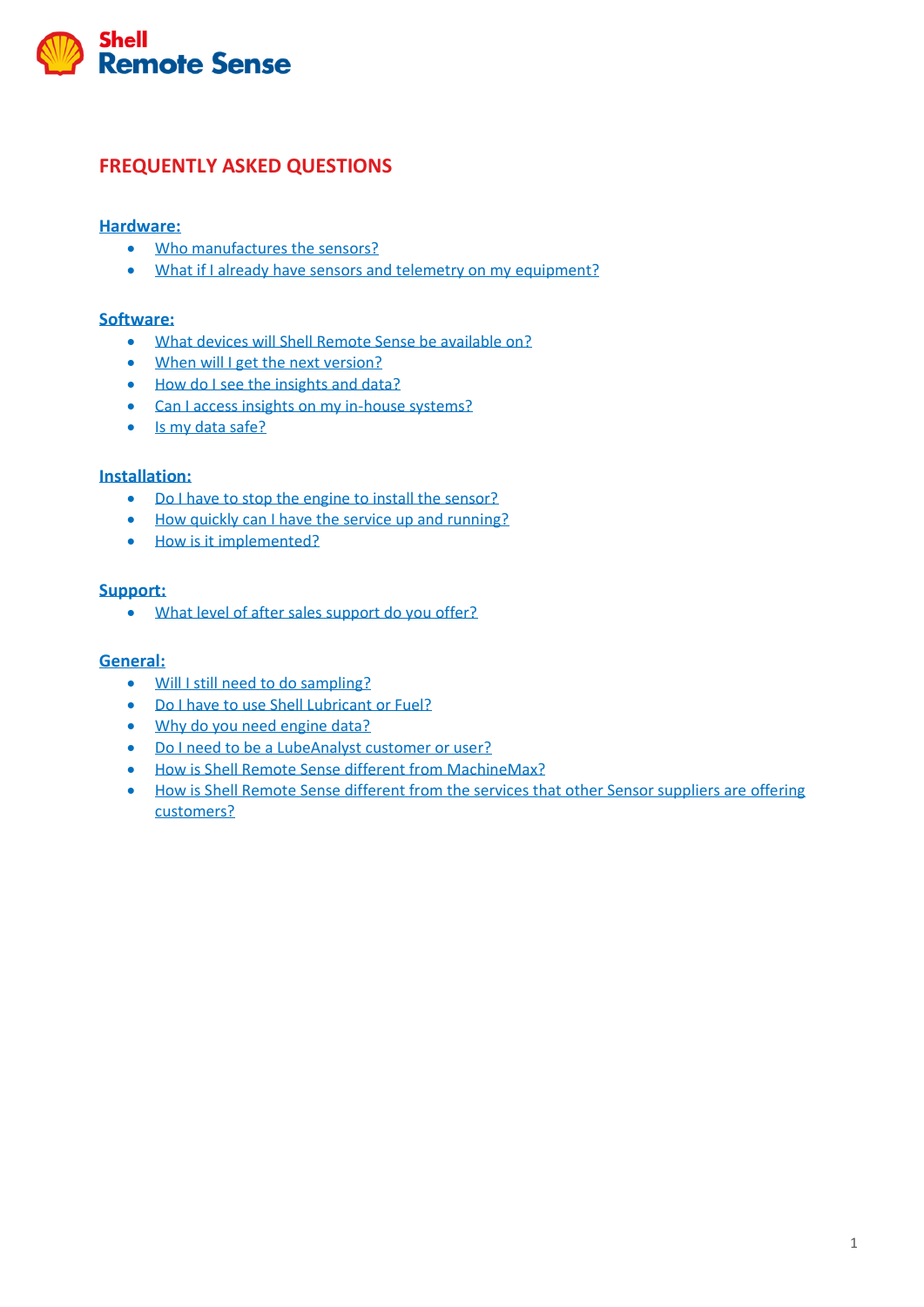

### **FREQUENTLY ASKED QUESTIONS**

#### **[Hardware:](#page-0-0)**

- [Who manufactures the sensors?](#page-1-0)
- [What if I already have sensors and telemetry on my equipment?](#page-1-1)

### **[Software:](#page-1-2)**

- [What devices will Shell Remote Sense be available on?](#page-1-3)
- [When will I get the next version?](#page-1-4)
- [How do I see the insights and data?](#page-1-5)
- [Can I access insights on my in-house systems?](#page-1-6)
- [Is my data safe?](#page-1-7)

#### **[Installation:](#page-1-8)**

- [Do I have to stop the engine to install the sensor?](#page-1-9)
- [How quickly can I have the service up and running?](#page-2-0)
- [How is it implemented?](#page-2-1)

#### **[Support:](#page-2-2)**

• [What level of after sales support do you offer?](#page-2-3)

#### **[General:](#page-2-4)**

- [Will I still need to do sampling?](#page-2-5)
- [Do I have to use Shell Lubricant or Fuel?](#page-3-0)
- [Why do you need engine data?](#page-3-1)
- [Do I need to be a LubeAnalyst customer or user?](#page-3-2)
- [How is Shell Remote Sense different from MachineMax?](#page-3-3)
- <span id="page-0-0"></span>• [How is Shell Remote Sense different from the services that other Sensor suppliers are offering](#page-3-4)  [customers?](#page-3-4)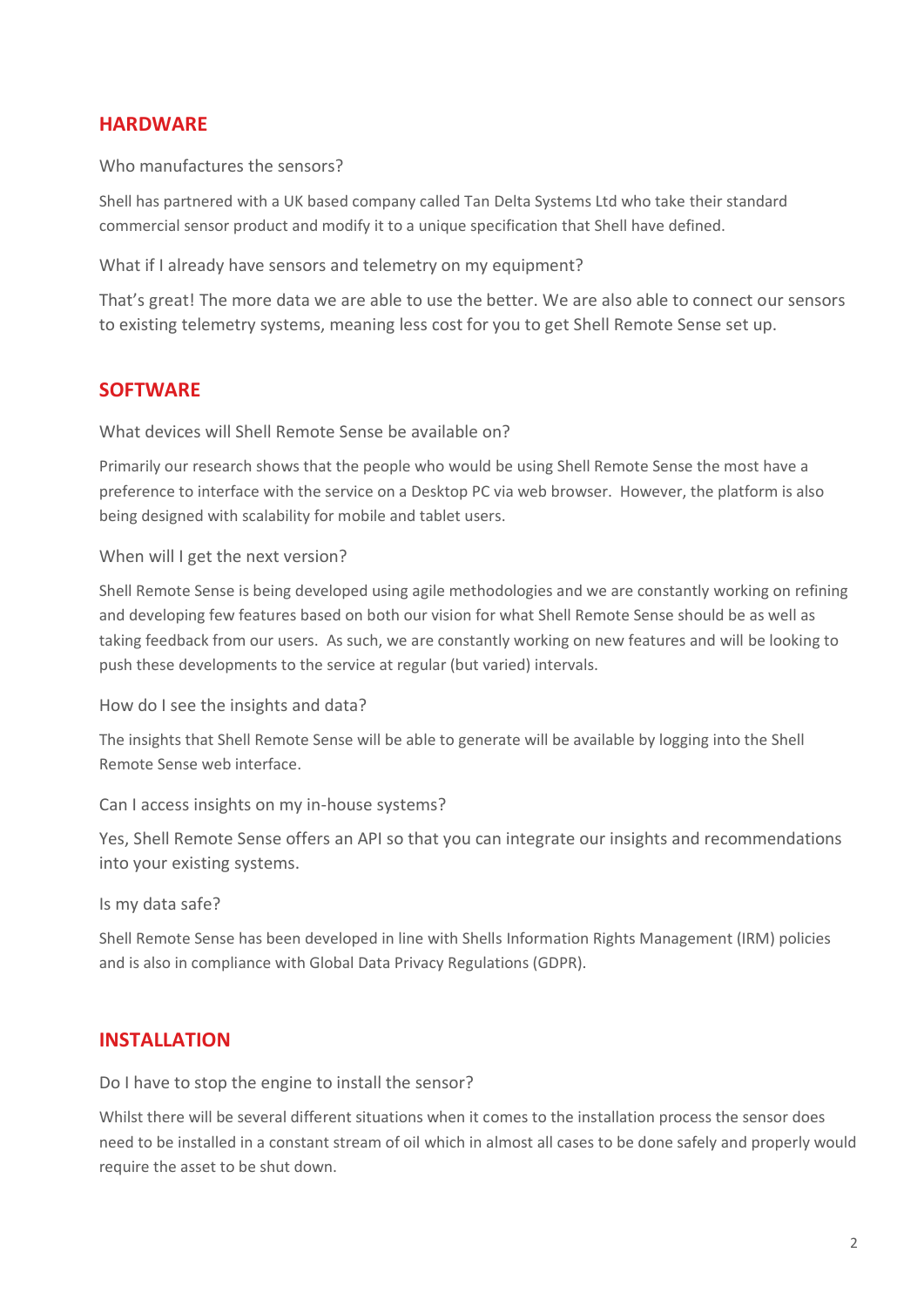### **HARDWARE**

<span id="page-1-0"></span>Who manufactures the sensors?

Shell has partnered with a UK based company called Tan Delta Systems Ltd who take their standard commercial sensor product and modify it to a unique specification that Shell have defined.

<span id="page-1-1"></span>What if I already have sensors and telemetry on my equipment?

That's great! The more data we are able to use the better. We are also able to connect our sensors to existing telemetry systems, meaning less cost for you to get Shell Remote Sense set up.

## <span id="page-1-2"></span>**SOFTWARE**

<span id="page-1-3"></span>What devices will Shell Remote Sense be available on?

Primarily our research shows that the people who would be using Shell Remote Sense the most have a preference to interface with the service on a Desktop PC via web browser. However, the platform is also being designed with scalability for mobile and tablet users.

### <span id="page-1-4"></span>When will I get the next version?

Shell Remote Sense is being developed using agile methodologies and we are constantly working on refining and developing few features based on both our vision for what Shell Remote Sense should be as well as taking feedback from our users. As such, we are constantly working on new features and will be looking to push these developments to the service at regular (but varied) intervals.

<span id="page-1-5"></span>How do I see the insights and data?

The insights that Shell Remote Sense will be able to generate will be available by logging into the Shell Remote Sense web interface.

<span id="page-1-6"></span>Can I access insights on my in-house systems?

Yes, Shell Remote Sense offers an API so that you can integrate our insights and recommendations into your existing systems.

<span id="page-1-7"></span>Is my data safe?

Shell Remote Sense has been developed in line with Shells Information Rights Management (IRM) policies and is also in compliance with Global Data Privacy Regulations (GDPR).

### <span id="page-1-8"></span>**INSTALLATION**

<span id="page-1-9"></span>Do I have to stop the engine to install the sensor?

Whilst there will be several different situations when it comes to the installation process the sensor does need to be installed in a constant stream of oil which in almost all cases to be done safely and properly would require the asset to be shut down.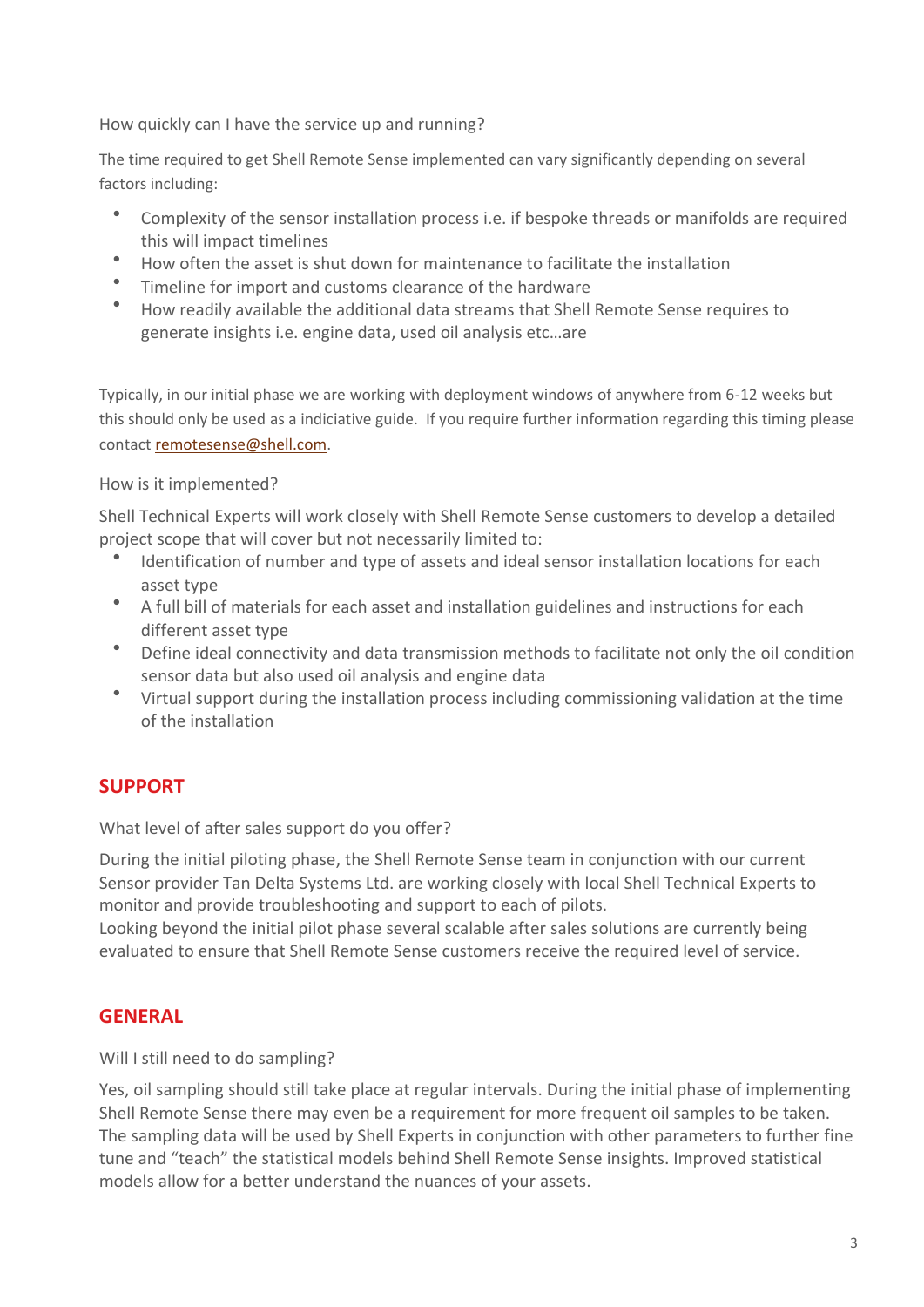<span id="page-2-0"></span>How quickly can I have the service up and running?

The time required to get Shell Remote Sense implemented can vary significantly depending on several factors including:

- Complexity of the sensor installation process i.e. if bespoke threads or manifolds are required this will impact timelines
- How often the asset is shut down for maintenance to facilitate the installation
- Timeline for import and customs clearance of the hardware
- How readily available the additional data streams that Shell Remote Sense requires to generate insights i.e. engine data, used oil analysis etc…are

Typically, in our initial phase we are working with deployment windows of anywhere from 6-12 weeks but this should only be used as a indiciative guide. If you require further information regarding this timing please contact [remotesense@shell.com.](mailto:remotesense@shell.com)

### <span id="page-2-1"></span>How is it implemented?

Shell Technical Experts will work closely with Shell Remote Sense customers to develop a detailed project scope that will cover but not necessarily limited to:

- Identification of number and type of assets and ideal sensor installation locations for each asset type
- A full bill of materials for each asset and installation guidelines and instructions for each different asset type
- Define ideal connectivity and data transmission methods to facilitate not only the oil condition sensor data but also used oil analysis and engine data
- Virtual support during the installation process including commissioning validation at the time of the installation

# <span id="page-2-2"></span>**SUPPORT**

<span id="page-2-3"></span>What level of after sales support do you offer?

During the initial piloting phase, the Shell Remote Sense team in conjunction with our current Sensor provider Tan Delta Systems Ltd. are working closely with local Shell Technical Experts to monitor and provide troubleshooting and support to each of pilots.

Looking beyond the initial pilot phase several scalable after sales solutions are currently being evaluated to ensure that Shell Remote Sense customers receive the required level of service.

# <span id="page-2-4"></span>**GENERAL**

<span id="page-2-5"></span>Will I still need to do sampling?

Yes, oil sampling should still take place at regular intervals. During the initial phase of implementing Shell Remote Sense there may even be a requirement for more frequent oil samples to be taken. The sampling data will be used by Shell Experts in conjunction with other parameters to further fine tune and "teach" the statistical models behind Shell Remote Sense insights. Improved statistical models allow for a better understand the nuances of your assets.